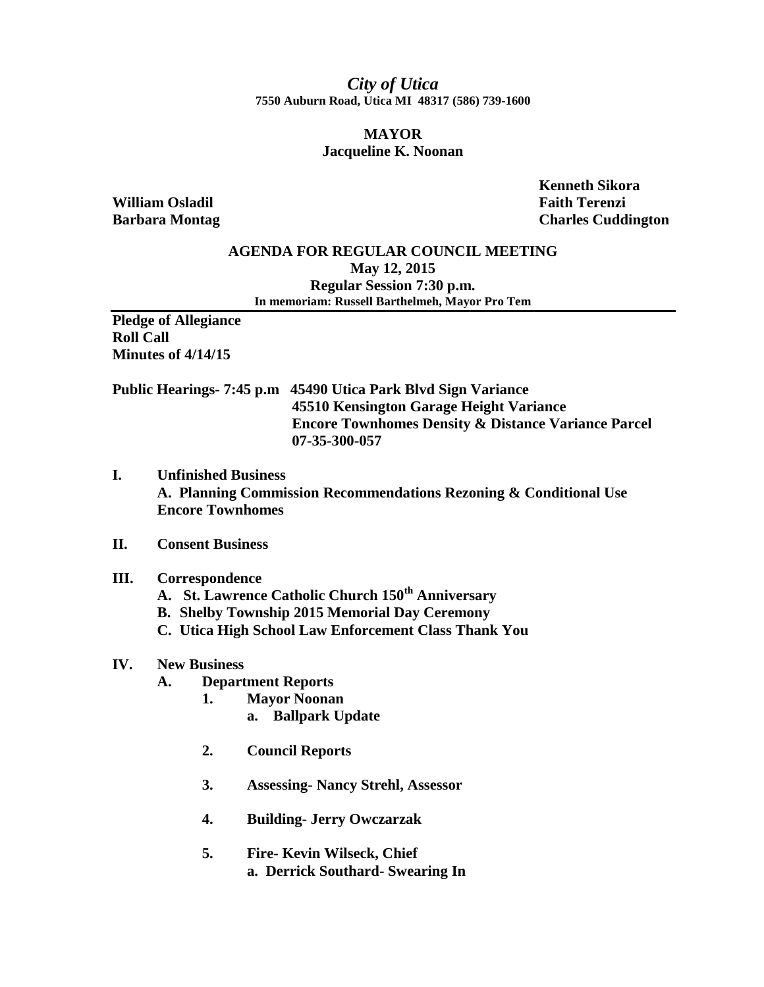*City of Utica* **7550 Auburn Road, Utica MI 48317 (586) 739-1600**

## **MAYOR Jacqueline K. Noonan**

**William Osladil Faith Terenzi**

 **Kenneth Sikora Barbara Montag Charles Cuddington** 

### **AGENDA FOR REGULAR COUNCIL MEETING May 12, 2015 Regular Session 7:30 p.m. In memoriam: Russell Barthelmeh, Mayor Pro Tem**

**Pledge of Allegiance Roll Call Minutes of 4/14/15**

**Public Hearings- 7:45 p.m 45490 Utica Park Blvd Sign Variance 45510 Kensington Garage Height Variance Encore Townhomes Density & Distance Variance Parcel 07-35-300-057**

**I. Unfinished Business A. Planning Commission Recommendations Rezoning & Conditional Use Encore Townhomes**

## **II. Consent Business**

#### **III. Correspondence**

- **A. St. Lawrence Catholic Church 150th Anniversary**
- **B. Shelby Township 2015 Memorial Day Ceremony**
- **C. Utica High School Law Enforcement Class Thank You**

## **IV. New Business**

- **A. Department Reports**
	- **1. Mayor Noonan**
		- **a. Ballpark Update**
	- **2. Council Reports**
	- **3. Assessing- Nancy Strehl, Assessor**
	- **4. Building- Jerry Owczarzak**
	- **5. Fire- Kevin Wilseck, Chief a. Derrick Southard- Swearing In**